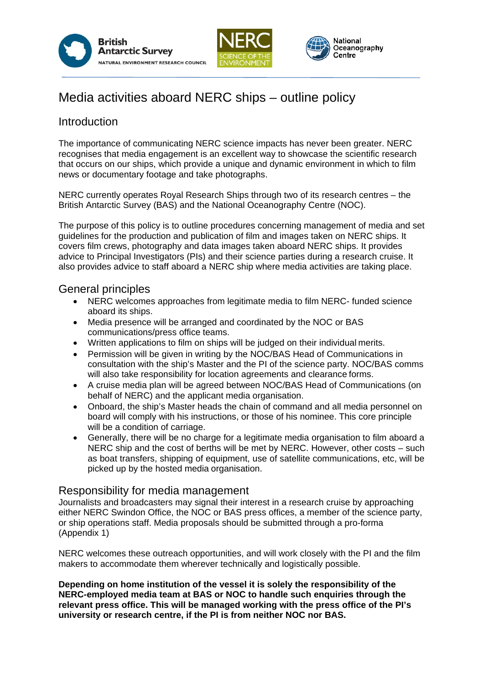



#### National Oceanography Centre

# Media activities aboard NERC ships – outline policy

### **Introduction**

The importance of communicating NERC science impacts has never been greater. NERC recognises that media engagement is an excellent way to showcase the scientific research that occurs on our ships, which provide a unique and dynamic environment in which to film news or documentary footage and take photographs.

NERC currently operates Royal Research Ships through two of its research centres – the British Antarctic Survey (BAS) and the National Oceanography Centre (NOC).

The purpose of this policy is to outline procedures concerning management of media and set guidelines for the production and publication of film and images taken on NERC ships. It covers film crews, photography and data images taken aboard NERC ships. It provides advice to Principal Investigators (PIs) and their science parties during a research cruise. It also provides advice to staff aboard a NERC ship where media activities are taking place.

### General principles

- NERC welcomes approaches from legitimate media to film NERC- funded science aboard its ships.
- Media presence will be arranged and coordinated by the NOC or BAS communications/press office teams.
- Written applications to film on ships will be judged on their individual merits.
- Permission will be given in writing by the NOC/BAS Head of Communications in consultation with the ship's Master and the PI of the science party. NOC/BAS comms will also take responsibility for location agreements and clearance forms.
- A cruise media plan will be agreed between NOC/BAS Head of Communications (on behalf of NERC) and the applicant media organisation.
- Onboard, the ship's Master heads the chain of command and all media personnel on board will comply with his instructions, or those of his nominee. This core principle will be a condition of carriage.
- Generally, there will be no charge for a legitimate media organisation to film aboard a NERC ship and the cost of berths will be met by NERC. However, other costs – such as boat transfers, shipping of equipment, use of satellite communications, etc, will be picked up by the hosted media organisation.

### Responsibility for media management

Journalists and broadcasters may signal their interest in a research cruise by approaching either NERC Swindon Office, the NOC or BAS press offices, a member of the science party, or ship operations staff. Media proposals should be submitted through a pro-forma (Appendix 1)

NERC welcomes these outreach opportunities, and will work closely with the PI and the film makers to accommodate them wherever technically and logistically possible.

**Depending on home institution of the vessel it is solely the responsibility of the NERC-employed media team at BAS or NOC to handle such enquiries through the relevant press office. This will be managed working with the press office of the PI's university or research centre, if the PI is from neither NOC nor BAS.**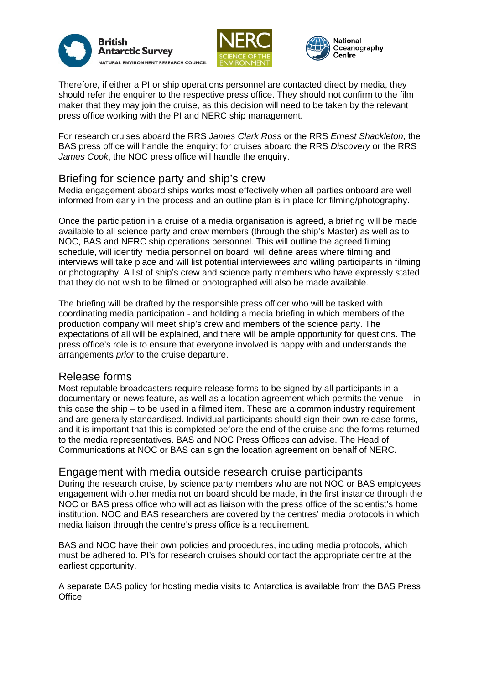





Therefore, if either a PI or ship operations personnel are contacted direct by media, they should refer the enquirer to the respective press office. They should not confirm to the film maker that they may join the cruise, as this decision will need to be taken by the relevant press office working with the PI and NERC ship management.

For research cruises aboard the RRS *James Clark Ross* or the RRS *Ernest Shackleton*, the BAS press office will handle the enquiry; for cruises aboard the RRS *Discovery* or the RRS *James Cook*, the NOC press office will handle the enquiry.

### Briefing for science party and ship's crew

Media engagement aboard ships works most effectively when all parties onboard are well informed from early in the process and an outline plan is in place for filming/photography.

Once the participation in a cruise of a media organisation is agreed, a briefing will be made available to all science party and crew members (through the ship's Master) as well as to NOC, BAS and NERC ship operations personnel. This will outline the agreed filming schedule, will identify media personnel on board, will define areas where filming and interviews will take place and will list potential interviewees and willing participants in filming or photography. A list of ship's crew and science party members who have expressly stated that they do not wish to be filmed or photographed will also be made available.

The briefing will be drafted by the responsible press officer who will be tasked with coordinating media participation - and holding a media briefing in which members of the production company will meet ship's crew and members of the science party. The expectations of all will be explained, and there will be ample opportunity for questions. The press office's role is to ensure that everyone involved is happy with and understands the arrangements *prior* to the cruise departure.

### Release forms

Most reputable broadcasters require release forms to be signed by all participants in a documentary or news feature, as well as a location agreement which permits the venue – in this case the ship – to be used in a filmed item. These are a common industry requirement and are generally standardised. Individual participants should sign their own release forms, and it is important that this is completed before the end of the cruise and the forms returned to the media representatives. BAS and NOC Press Offices can advise. The Head of Communications at NOC or BAS can sign the location agreement on behalf of NERC.

### Engagement with media outside research cruise participants

During the research cruise, by science party members who are not NOC or BAS employees, engagement with other media not on board should be made, in the first instance through the NOC or BAS press office who will act as liaison with the press office of the scientist's home institution. NOC and BAS researchers are covered by the centres' media protocols in which media liaison through the centre's press office is a requirement.

BAS and NOC have their own policies and procedures, including media protocols, which must be adhered to. PI's for research cruises should contact the appropriate centre at the earliest opportunity.

A separate BAS policy for hosting media visits to Antarctica is available from the BAS Press Office.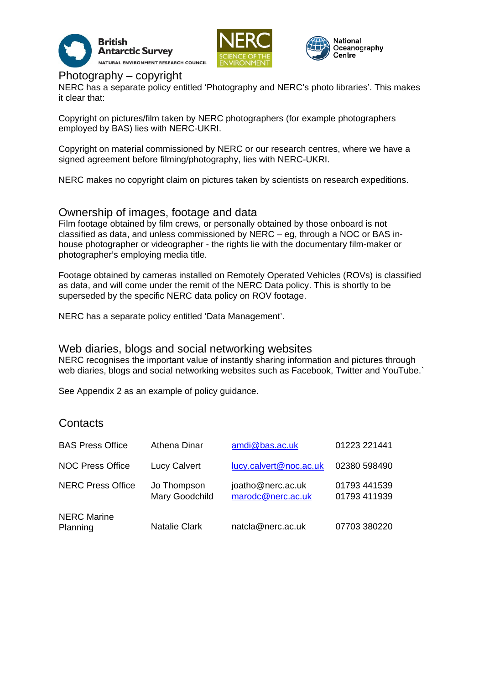





### Photography – copyright

NERC has a separate policy entitled 'Photography and NERC's photo libraries'. This makes it clear that:

Copyright on pictures/film taken by NERC photographers (for example photographers employed by BAS) lies with NERC-UKRI.

Copyright on material commissioned by NERC or our research centres, where we have a signed agreement before filming/photography, lies with NERC-UKRI.

NERC makes no copyright claim on pictures taken by scientists on research expeditions.

### Ownership of images, footage and data

Film footage obtained by film crews, or personally obtained by those onboard is not classified as data, and unless commissioned by NERC – eg, through a NOC or BAS inhouse photographer or videographer - the rights lie with the documentary film-maker or photographer's employing media title.

Footage obtained by cameras installed on Remotely Operated Vehicles (ROVs) is classified as data, and will come under the remit of the NERC Data policy. This is shortly to be superseded by the specific NERC data policy on ROV footage.

NERC has a separate policy entitled 'Data Management'.

### Web diaries, blogs and social networking websites

NERC recognises the important value of instantly sharing information and pictures through web diaries, blogs and social networking websites such as Facebook. Twitter and YouTube.

See Appendix 2 as an example of policy guidance.

### **Contacts**

| <b>BAS Press Office</b>        | <b>Athena Dinar</b>           | amdi@bas.ac.uk                         | 01223 221441                 |
|--------------------------------|-------------------------------|----------------------------------------|------------------------------|
| <b>NOC Press Office</b>        | <b>Lucy Calvert</b>           | lucy.calvert@noc.ac.uk                 | 02380 598490                 |
| <b>NERC Press Office</b>       | Jo Thompson<br>Mary Goodchild | joatho@nerc.ac.uk<br>marodc@nerc.ac.uk | 01793 441539<br>01793 411939 |
| <b>NERC Marine</b><br>Planning | <b>Natalie Clark</b>          | natcla@nerc.ac.uk                      | 07703 380220                 |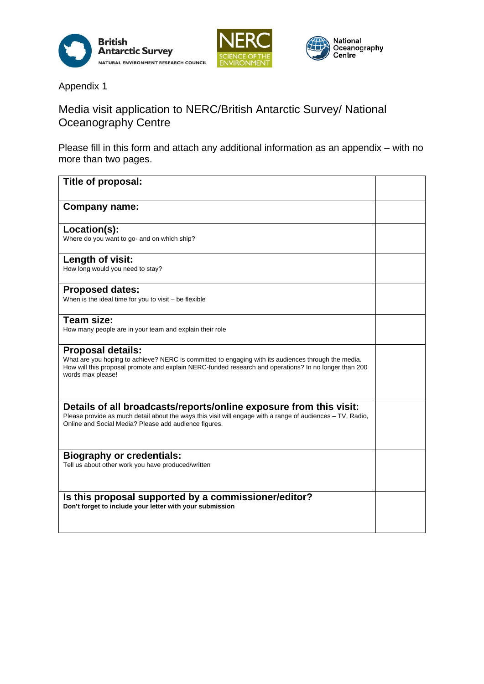



Appendix 1

## Media visit application to NERC/British Antarctic Survey/ National Oceanography Centre

Please fill in this form and attach any additional information as an appendix – with no more than two pages.

| Title of proposal:                                                                                                                                                                                                                                            |  |
|---------------------------------------------------------------------------------------------------------------------------------------------------------------------------------------------------------------------------------------------------------------|--|
| <b>Company name:</b>                                                                                                                                                                                                                                          |  |
| Location(s):<br>Where do you want to go- and on which ship?                                                                                                                                                                                                   |  |
| Length of visit:<br>How long would you need to stay?                                                                                                                                                                                                          |  |
| <b>Proposed dates:</b><br>When is the ideal time for you to visit - be flexible                                                                                                                                                                               |  |
| Team size:<br>How many people are in your team and explain their role                                                                                                                                                                                         |  |
| <b>Proposal details:</b><br>What are you hoping to achieve? NERC is committed to engaging with its audiences through the media.<br>How will this proposal promote and explain NERC-funded research and operations? In no longer than 200<br>words max please! |  |
| Details of all broadcasts/reports/online exposure from this visit:<br>Please provide as much detail about the ways this visit will engage with a range of audiences - TV, Radio,<br>Online and Social Media? Please add audience figures.                     |  |
| <b>Biography or credentials:</b><br>Tell us about other work you have produced/written                                                                                                                                                                        |  |
| Is this proposal supported by a commissioner/editor?<br>Don't forget to include your letter with your submission                                                                                                                                              |  |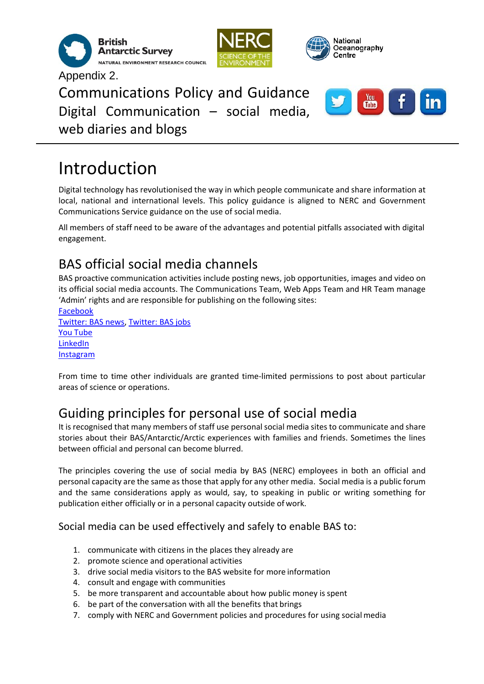





 $\frac{You}{t}$ 

Communications Policy and Guidance Digital Communication – social media, web diaries and blogs

# Introduction

Appendix 2.

Digital technology has revolutionised the way in which people communicate and share information at local, national and international levels. This policy guidance is aligned to NERC and Government Communications Service guidance on the use of social media.

All members of staff need to be aware of the advantages and potential pitfalls associated with digital engagement.

# BAS official social media channels

BAS proactive communication activities include posting news, job opportunities, images and video on its official social media accounts. The Communications Team, Web Apps Team and HR Team manage 'Admin' rights and are responsible for publishing on the following sites:

[Facebook](https://www.facebook.com/BritishAntarcticSurvey/) [Twitter: BAS news,](https://twitter.com/BAS_News) [Twitter: BAS jobs](https://twitter.com/BAS_Jobs) You [Tube](https://www.youtube.com/AntarcticSurvey) [LinkedIn](https://www.linkedin.com/company/british-antarctic-survey) [Instagram](https://www.instagram.com/britishantarcticsurvey/)

From time to time other individuals are granted time-limited permissions to post about particular areas of science or operations.

# Guiding principles for personal use of social media

It is recognised that many members of staff use personal social media sites to communicate and share stories about their BAS/Antarctic/Arctic experiences with families and friends. Sometimes the lines between official and personal can become blurred.

The principles covering the use of social media by BAS (NERC) employees in both an official and personal capacity are the same as those that apply for any other media. Social media is a public forum and the same considerations apply as would, say, to speaking in public or writing something for publication either officially or in a personal capacity outside of work.

### Social media can be used effectively and safely to enable BAS to:

- 1. communicate with citizens in the places they already are
- 2. promote science and operational activities
- 3. drive social media visitors to the BAS website for more information
- 4. consult and engage with communities
- 5. be more transparent and accountable about how public money is spent
- 6. be part of the conversation with all the benefits that brings
- 7. comply with NERC and Government policies and procedures for using socialmedia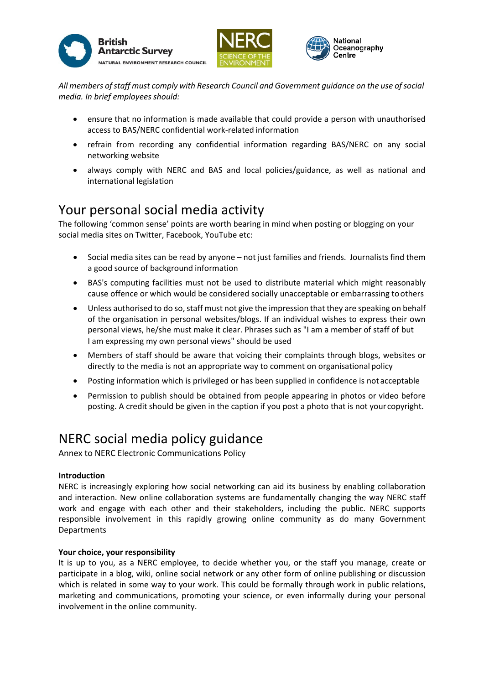





*All members ofstaff must comply with Research Council and Government guidance on the use ofsocial media. In brief employees should:*

- ensure that no information is made available that could provide a person with unauthorised access to BAS/NERC confidential work-related information
- refrain from recording any confidential information regarding BAS/NERC on any social networking website
- always comply with NERC and BAS and local policies/guidance, as well as national and international legislation

## Your personal social media activity

The following 'common sense' points are worth bearing in mind when posting or blogging on your social media sites on Twitter, Facebook, YouTube etc:

- Social media sites can be read by anyone not just families and friends. Journalists find them a good source of background information
- BAS's computing facilities must not be used to distribute material which might reasonably cause offence or which would be considered socially unacceptable or embarrassing toothers
- Unless authorised to do so, staff must not give the impression that they are speaking on behalf of the organisation in personal websites/blogs. If an individual wishes to express their own personal views, he/she must make it clear. Phrases such as "I am a member of staff of but I am expressing my own personal views" should be used
- Members of staff should be aware that voicing their complaints through blogs, websites or directly to the media is not an appropriate way to comment on organisational policy
- Posting information which is privileged or has been supplied in confidence is not acceptable
- Permission to publish should be obtained from people appearing in photos or video before posting. A credit should be given in the caption if you post a photo that is not your copyright.

# NERC social media policy guidance

Annex to NERC Electronic Communications Policy

### **Introduction**

NERC is increasingly exploring how social networking can aid its business by enabling collaboration and interaction. New online collaboration systems are fundamentally changing the way NERC staff work and engage with each other and their stakeholders, including the public. NERC supports responsible involvement in this rapidly growing online community as do many Government Departments

### **Your choice, your responsibility**

It is up to you, as a NERC employee, to decide whether you, or the staff you manage, create or participate in a blog, wiki, online social network or any other form of online publishing or discussion which is related in some way to your work. This could be formally through work in public relations, marketing and communications, promoting your science, or even informally during your personal involvement in the online community.